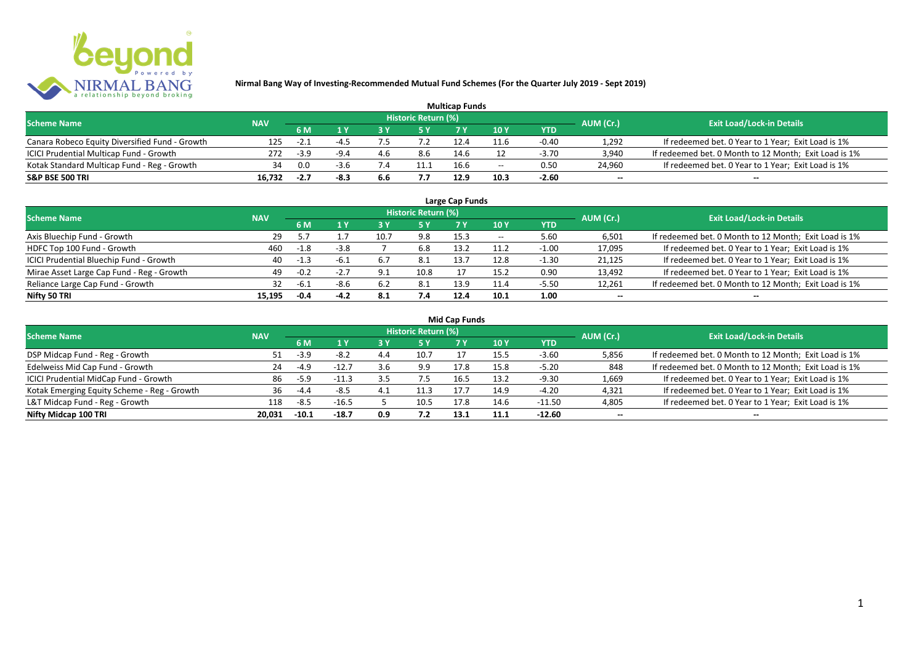

| <b>Multicap Funds</b>                          |            |        |        |     |                            |      |                          |         |                          |                                                       |  |  |
|------------------------------------------------|------------|--------|--------|-----|----------------------------|------|--------------------------|---------|--------------------------|-------------------------------------------------------|--|--|
| <b>Scheme Name</b>                             | <b>NAV</b> |        |        |     | <b>Historic Return (%)</b> |      |                          |         | AUM (Cr.)                | <b>Exit Load/Lock-in Details</b>                      |  |  |
|                                                |            | 6 M    |        |     |                            |      | 10Y                      | YTD     |                          |                                                       |  |  |
| Canara Robeco Equity Diversified Fund - Growth | 125        | -4.1   | $-4.$  |     |                            |      | 11.6                     | $-0.40$ | 1,292                    | If redeemed bet. 0 Year to 1 Year; Exit Load is 1%    |  |  |
| ICICI Prudential Multicap Fund - Growth        | 272        | $-3.9$ | $-9.4$ | 4.6 | 8.6                        | 14.6 |                          | $-3.70$ | 3,940                    | If redeemed bet. 0 Month to 12 Month; Exit Load is 1% |  |  |
| Kotak Standard Multicap Fund - Reg - Growth    | 34         | 0.0    | $-3.6$ |     | 11.1                       | 16.6 | $\overline{\phantom{a}}$ | 0.50    | 24,960                   | If redeemed bet. 0 Year to 1 Year; Exit Load is 1%    |  |  |
| S&P BSE 500 TRI                                | 16.732     | -2.7   | -8.3   | 6.6 |                            | 12.9 | 10.3                     | $-2.60$ | $\overline{\phantom{a}}$ | $\overline{\phantom{a}}$                              |  |  |

| Large Cap Funds<br>Historic Return (%)    |            |        |        |      |      |      |       |            |                          |                                                       |  |  |  |
|-------------------------------------------|------------|--------|--------|------|------|------|-------|------------|--------------------------|-------------------------------------------------------|--|--|--|
| <b>Scheme Name</b>                        | <b>NAV</b> | 6 M    | 1 Y    |      | 5 Y  |      | 10Y   | <b>YTD</b> | AUM (Cr.)                | <b>Exit Load/Lock-in Details</b>                      |  |  |  |
| Axis Bluechip Fund - Growth               | 29         |        |        | 10.7 | 9.8  | 15.3 | $- -$ | 5.60       | 6,501                    | If redeemed bet. 0 Month to 12 Month; Exit Load is 1% |  |  |  |
| HDFC Top 100 Fund - Growth                | 460        | -1.8   | $-3.8$ |      | 6.8  | 13.2 | 11.2  | $-1.00$    | 17,095                   | If redeemed bet. 0 Year to 1 Year; Exit Load is 1%    |  |  |  |
| ICICI Prudential Bluechip Fund - Growth   | 40         | $-1.3$ | $-6.1$ |      | -8.1 | 13.7 | 12.8  | $-1.30$    | 21,125                   | If redeemed bet. 0 Year to 1 Year; Exit Load is 1%    |  |  |  |
| Mirae Asset Large Cap Fund - Reg - Growth | 49         | $-0.2$ | $-2.7$ | a ·  | 10.8 |      | 15.2  | 0.90       | 13,492                   | If redeemed bet. 0 Year to 1 Year; Exit Load is 1%    |  |  |  |
| Reliance Large Cap Fund - Growth          |            | $-6.1$ | $-8.6$ | -6.2 | 8.1  | 13.9 | 11.4  | $-5.50$    | 12,261                   | If redeemed bet. 0 Month to 12 Month; Exit Load is 1% |  |  |  |
| Nifty 50 TRI                              | 15.195     | $-0.4$ | $-4.2$ | 8.1  | 7.4  | 12.4 | 10.1  | 1.00       | $\overline{\phantom{a}}$ | $\overline{\phantom{a}}$                              |  |  |  |

| Mid Cap Funds |  |
|---------------|--|
|---------------|--|

| <b>Scheme Name</b>                          | <b>NAV</b> |         |         |     | Historic Return (%) |      |                 |            | AUM (Cr.)                | <b>Exit Load/Lock-in Details</b>                      |
|---------------------------------------------|------------|---------|---------|-----|---------------------|------|-----------------|------------|--------------------------|-------------------------------------------------------|
|                                             |            | 6 M     |         |     | /5 Y                |      | 10 <sub>Y</sub> | <b>YTD</b> |                          |                                                       |
| DSP Midcap Fund - Reg - Growth              | 51.        | $-3.9$  | $-8.2$  | 4.4 | 10.7                |      | 15.5            | $-3.60$    | 5,856                    | If redeemed bet. 0 Month to 12 Month; Exit Load is 1% |
| Edelweiss Mid Cap Fund - Growth             | 24         | $-4.9$  | $-12.7$ |     | 9.9                 | 17.8 | 15.8            | $-5.20$    | 848                      | If redeemed bet. 0 Month to 12 Month; Exit Load is 1% |
| ICICI Prudential MidCap Fund - Growth       | 86         | $-5.9$  | $-11.3$ | 3.5 |                     | 16.5 | 13.2            | $-9.30$    | 1,669                    | If redeemed bet. 0 Year to 1 Year; Exit Load is 1%    |
| Kotak Emerging Equity Scheme - Reg - Growth | 36         | -4.4    | $-8.5$  |     |                     |      | 14.9            | $-4.20$    | 4,321                    | If redeemed bet. 0 Year to 1 Year; Exit Load is 1%    |
| L&T Midcap Fund - Reg - Growth              | 118        | $-8.5$  | $-16.5$ |     | 10.5                | 17.8 | 14.6            | $-11.50$   | 4,805                    | If redeemed bet. 0 Year to 1 Year; Exit Load is 1%    |
| Nifty Midcap 100 TRI                        | 20.031     | $-10.1$ | $-18.7$ | 0.9 |                     | 13.1 | 11.1            | $-12.60$   | $\overline{\phantom{a}}$ | $\overline{\phantom{a}}$                              |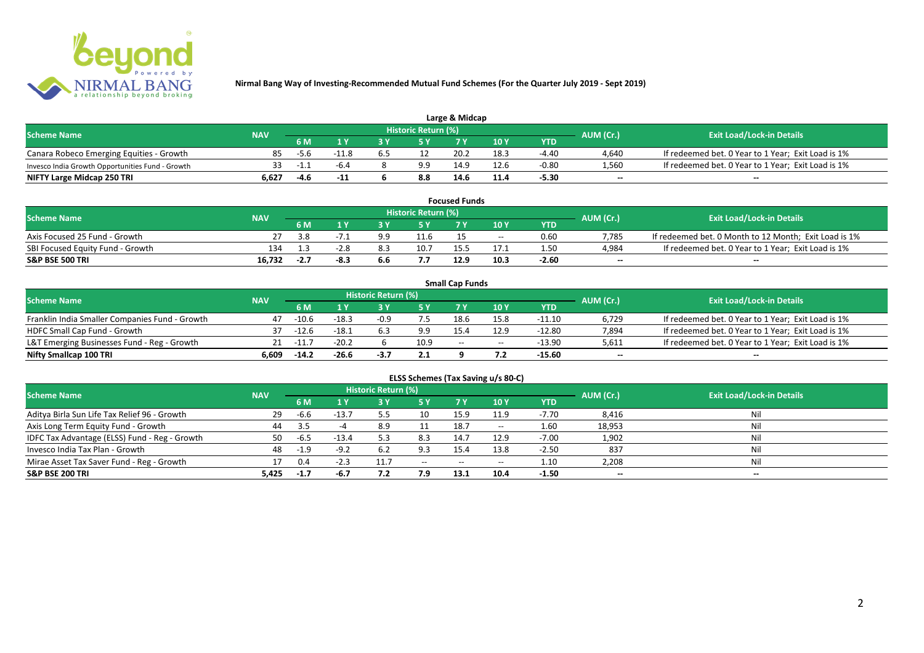

| Large & Midcap                                   |            |      |         |  |                     |      |      |         |           |                                                    |  |  |
|--------------------------------------------------|------------|------|---------|--|---------------------|------|------|---------|-----------|----------------------------------------------------|--|--|
| <b>Scheme Name</b>                               | <b>NAV</b> |      |         |  | Historic Return (%) |      |      |         | AUM (Cr.) | <b>Exit Load/Lock-in Details</b>                   |  |  |
|                                                  |            | 6 M  |         |  |                     |      | 10Y  | YTD     |           |                                                    |  |  |
| Canara Robeco Emerging Equities - Growth         | 85         | -5.6 | $-11.8$ |  |                     | 20.2 | 18.3 | $-4.40$ | 4,640     | If redeemed bet. 0 Year to 1 Year; Exit Load is 1% |  |  |
| Invesco India Growth Opportunities Fund - Growth |            | $-1$ | $-6.4$  |  | 9.9                 | 14.9 | 12.f | $-0.80$ | 1,560     | If redeemed bet. 0 Year to 1 Year; Exit Load is 1% |  |  |
| NIFTY Large Midcap 250 TRI                       | 6.627      | -4.6 | -11     |  | 8.8                 | 14.6 | 11.4 | -5.30   | $-$       | $- -$                                              |  |  |

|                                  |            |        |      |     |                     | <b>Focused Funds</b> |       |            |                          |                                                       |
|----------------------------------|------------|--------|------|-----|---------------------|----------------------|-------|------------|--------------------------|-------------------------------------------------------|
| <b>Scheme Name</b>               | <b>NAV</b> |        |      |     | Historic Return (%) |                      |       |            | AUM (Cr.)                | <b>Exit Load/Lock-in Details</b>                      |
|                                  |            | 6 M    |      |     | <b>EV</b>           |                      | 10 Y  | <b>YTD</b> |                          |                                                       |
| Axis Focused 25 Fund - Growth    |            | 3.8    |      | a a | 11.6                |                      | $- -$ | 0.60       | 7.785                    | If redeemed bet. 0 Month to 12 Month; Exit Load is 1% |
| SBI Focused Equity Fund - Growth | 134        |        | -2.8 | 8.3 | 10.7                |                      |       | 1.50       | 4.984                    | If redeemed bet. 0 Year to 1 Year; Exit Load is 1%    |
| <b>S&amp;P BSE 500 TRI</b>       | 16.732     | $-2.7$ | -8.3 | 6.6 |                     | 12.9                 | 10.3  | $-2.60$    | $\overline{\phantom{a}}$ | $- -$                                                 |

|                                                |            |             |         |                     |      | <b>Small Cap Funds</b> |                                       |            |                          |                                                    |
|------------------------------------------------|------------|-------------|---------|---------------------|------|------------------------|---------------------------------------|------------|--------------------------|----------------------------------------------------|
| <b>Scheme Name</b>                             | <b>NAV</b> |             |         | Historic Return (%) |      |                        |                                       |            | AUM (Cr.)                | <b>Exit Load/Lock-in Details</b>                   |
|                                                |            | 6 M         |         |                     |      |                        | 10 Y                                  | <b>YTD</b> |                          |                                                    |
| Franklin India Smaller Companies Fund - Growth | 47         | $-10.6$     | $-18.3$ | $-0.9$              | 7.5  | 18.6                   | 15.8                                  | $-11.10$   | 6,729                    | If redeemed bet. 0 Year to 1 Year; Exit Load is 1% |
| HDFC Small Cap Fund - Growth                   | 37         | $-12.6$     | $-18.1$ |                     | 9.9  | 15.4                   | 12.9                                  | $-12.80$   | 7,894                    | If redeemed bet. 0 Year to 1 Year; Exit Load is 1% |
| L&T Emerging Businesses Fund - Reg - Growth    |            | $21 - 11.7$ | $-20.2$ |                     | 10.9 | $-$                    | $\hspace{0.05cm}$ – $\hspace{0.05cm}$ | $-13.90$   | 5,611                    | If redeemed bet. 0 Year to 1 Year; Exit Load is 1% |
| Nifty Smallcap 100 TRI                         | 6.609      | $-14.2$     | $-26.6$ | -3.7                | 2.1  |                        |                                       | -15.60     | $\overline{\phantom{a}}$ | $- -$                                              |

|                                               |            |        |         |                            |           |           | ELSS Schemes (Tax Saving u/s 80-C) |            |           |                                  |
|-----------------------------------------------|------------|--------|---------|----------------------------|-----------|-----------|------------------------------------|------------|-----------|----------------------------------|
| <b>Scheme Name</b>                            | <b>NAV</b> |        |         | <b>Historic Return (%)</b> |           |           |                                    |            | AUM (Cr.) | <b>Exit Load/Lock-in Details</b> |
|                                               |            | 6 M    | 1 Y     | 3 Y                        | <b>5Y</b> | <b>7Y</b> | 10 Y                               | <b>YTD</b> |           |                                  |
| Aditya Birla Sun Life Tax Relief 96 - Growth  | 29         | $-6.6$ | $-13.7$ | $5.5 -$                    | 10        | 15.9      | 11.9                               | $-7.70$    | 8,416     | Nil                              |
| Axis Long Term Equity Fund - Growth           | 44         | 3.5    |         | 8.9                        |           | 18.7      | $- -$                              | 1.60       | 18,953    | Nil                              |
| IDFC Tax Advantage (ELSS) Fund - Reg - Growth | 50         | -6.5   | $-13.4$ | 5.3                        | 8.3       | 14.7      | 12.9                               | $-7.00$    | 1,902     | Nil                              |
| Invesco India Tax Plan - Growth               | 48         | $-1.9$ | $-9.2$  | 6.2                        | 9.3       | 15.4      | 13.8                               | $-2.50$    | 837       | Nil                              |
| Mirae Asset Tax Saver Fund - Reg - Growth     |            | 0.4    | $-2.3$  |                            | $- -$     | $- -$     | $- -$                              | 1.10       | 2,208     | Nil                              |
| S&P BSE 200 TRI                               | 5,425      | $-1.7$ | $-6.7$  | 7.2                        | 7.9       | 13.1      | 10.4                               | $-1.50$    | $\sim$    | $\overline{\phantom{a}}$         |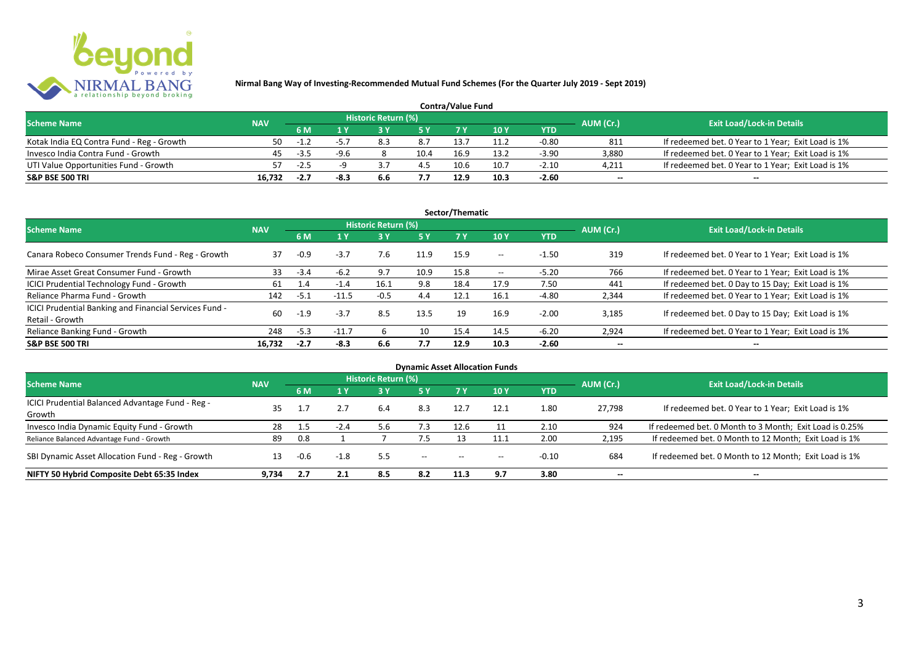

| <b>Contra/Value Fund</b>                  |            |              |        |                     |      |      |      |         |           |                                                    |  |  |
|-------------------------------------------|------------|--------------|--------|---------------------|------|------|------|---------|-----------|----------------------------------------------------|--|--|
| <b>Scheme Name</b>                        | <b>NAV</b> |              |        | Historic Return (%) |      |      |      |         | AUM (Cr.) | <b>Exit Load/Lock-in Details</b>                   |  |  |
|                                           |            | 6 M          |        |                     |      |      | 10Y  | YTD     |           |                                                    |  |  |
| Kotak India EQ Contra Fund - Reg - Growth | 50         | $-1\sqrt{2}$ |        |                     | 8.7  | 13.7 |      | $-0.80$ | 811       | If redeemed bet. 0 Year to 1 Year; Exit Load is 1% |  |  |
| Invesco India Contra Fund - Growth        | 45         | $-3.5$       | $-9.6$ |                     | 10.4 | 16.9 | 13.2 | $-3.90$ | 3.880     | If redeemed bet. 0 Year to 1 Year; Exit Load is 1% |  |  |
| UTI Value Opportunities Fund - Growth     |            | $-2.5$       |        |                     | 4.5  | 10.6 | 10.7 | $-2.10$ | 4,211     | If redeemed bet. 0 Year to 1 Year; Exit Load is 1% |  |  |
| <b>S&amp;P BSE 500 TRI</b>                | 16.732     | $-2.7$       | -8.:   | b.b                 |      | 12.9 | 10.3 | $-2.60$ | $\sim$    | $\overline{\phantom{a}}$                           |  |  |

|                                                                           |            |        |         |                     |           | Sector/Thematic |                   |            |                          |                                                    |
|---------------------------------------------------------------------------|------------|--------|---------|---------------------|-----------|-----------------|-------------------|------------|--------------------------|----------------------------------------------------|
| <b>Scheme Name</b>                                                        | <b>NAV</b> |        |         | Historic Return (%) |           |                 |                   |            | AUM (Cr.)                | <b>Exit Load/Lock-in Details</b>                   |
|                                                                           |            | 6 M    | 1 Y     | 3 Y                 | <b>5Y</b> | <b>7Y</b>       | 10Y               | <b>YTD</b> |                          |                                                    |
| Canara Robeco Consumer Trends Fund - Reg - Growth                         | 37         | $-0.9$ | $-3.7$  | 7.6                 | 11.9      | 15.9            | $- -$             | $-1.50$    | 319                      | If redeemed bet. 0 Year to 1 Year; Exit Load is 1% |
| Mirae Asset Great Consumer Fund - Growth                                  | 33         | $-3.4$ | $-6.2$  | 9.7                 | 10.9      | 15.8            | $\hspace{0.05cm}$ | $-5.20$    | 766                      | If redeemed bet. 0 Year to 1 Year; Exit Load is 1% |
| ICICI Prudential Technology Fund - Growth                                 | 61         | 1.4    | $-1.4$  | 16.1                | 9.8       | 18.4            | 17.9              | 7.50       | 441                      | If redeemed bet. 0 Day to 15 Day; Exit Load is 1%  |
| Reliance Pharma Fund - Growth                                             | 142        | $-5.1$ | $-11.5$ | $-0.5$              | 4.4       | 12.1            | 16.1              | $-4.80$    | 2,344                    | If redeemed bet. 0 Year to 1 Year; Exit Load is 1% |
| ICICI Prudential Banking and Financial Services Fund -<br>Retail - Growth | 60         | $-1.9$ | $-3.7$  | 8.5                 | 13.5      | 19              | 16.9              | $-2.00$    | 3.185                    | If redeemed bet. 0 Day to 15 Day; Exit Load is 1%  |
| Reliance Banking Fund - Growth                                            | 248        | $-5.3$ | $-11.7$ | n                   | 10        | 15.4            | 14.5              | $-6.20$    | 2,924                    | If redeemed bet. 0 Year to 1 Year; Exit Load is 1% |
| <b>S&amp;P BSE 500 TRI</b>                                                | 16.732     | $-2.7$ | -8.3    | 6.6                 | 7.7       | 12.9            | 10.3              | $-2.60$    | $\overline{\phantom{a}}$ | $- -$                                              |

|                                                  |            |      |        |                            |                                       |                                       | <b>Dynamic Asset Allocation Funds</b> |            |                          |                                                         |
|--------------------------------------------------|------------|------|--------|----------------------------|---------------------------------------|---------------------------------------|---------------------------------------|------------|--------------------------|---------------------------------------------------------|
| Scheme Name                                      | <b>NAV</b> |      |        | <b>Historic Return (%)</b> |                                       |                                       |                                       |            | AUM (Cr.)                | <b>Exit Load/Lock-in Details</b>                        |
|                                                  |            | 6 M  | 1 Y    | 73 V.                      | 5 Y                                   |                                       | 10 Y                                  | <b>YTD</b> |                          |                                                         |
| ICICI Prudential Balanced Advantage Fund - Reg - | 35         |      |        | 6.4                        | 8.3                                   | 12.7                                  | 12.1                                  | 1.80       | 27.798                   | If redeemed bet. 0 Year to 1 Year; Exit Load is 1%      |
| Growth                                           |            |      |        |                            |                                       |                                       |                                       |            |                          |                                                         |
| Invesco India Dynamic Equity Fund - Growth       | 28         | 1.5  | -2.4   | 5.6                        | 7.3                                   | 12.6                                  |                                       | 2.10       | 924                      | If redeemed bet. 0 Month to 3 Month; Exit Load is 0.25% |
| Reliance Balanced Advantage Fund - Growth        | 89         | 0.8  |        |                            | 7.5                                   |                                       | 11.1                                  | 2.00       | 2,195                    | If redeemed bet. 0 Month to 12 Month; Exit Load is 1%   |
| SBI Dynamic Asset Allocation Fund - Reg - Growth |            | -0.6 | $-1.8$ | 5.5                        | $\hspace{0.05cm}$ – $\hspace{0.05cm}$ | $\hspace{0.05cm}$ – $\hspace{0.05cm}$ | $- -$                                 | $-0.10$    | 684                      | If redeemed bet. 0 Month to 12 Month; Exit Load is 1%   |
| NIFTY 50 Hybrid Composite Debt 65:35 Index       | 9.734      | 2.7  | 2.1    | 8.5                        | 8.2                                   | 11.3                                  | 9.7                                   | 3.80       | $\overline{\phantom{a}}$ | $- -$                                                   |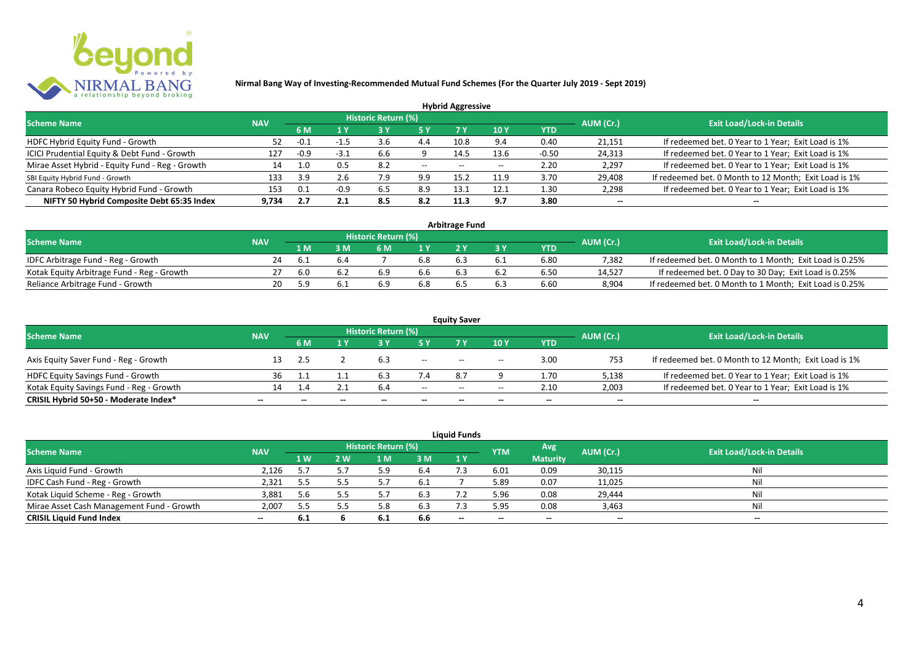

|                                                 |            |        |        |                            |       | <b>Hybrid Aggressive</b> |            |         |                          |                                                       |
|-------------------------------------------------|------------|--------|--------|----------------------------|-------|--------------------------|------------|---------|--------------------------|-------------------------------------------------------|
| <b>Scheme Name</b>                              | <b>NAV</b> |        |        | <b>Historic Return (%)</b> |       |                          |            |         | AUM (Cr.)                | <b>Exit Load/Lock-in Details</b>                      |
|                                                 |            | 6 M    | 1 Y    |                            | 5 ۱   | 7 Y                      | 10Y        | YTD     |                          |                                                       |
| HDFC Hybrid Equity Fund - Growth                |            | -0.1   |        | 3.b                        | 4.4   | 10.8                     | $Q \wedge$ | 0.40    | 21,151                   | If redeemed bet. 0 Year to 1 Year; Exit Load is 1%    |
| ICICI Prudential Equity & Debt Fund - Growth    | 127        | $-0.9$ | $-3.1$ | 6.6                        |       | 14.5                     | 13.6       | $-0.50$ | 24,313                   | If redeemed bet. 0 Year to 1 Year; Exit Load is 1%    |
| Mirae Asset Hybrid - Equity Fund - Reg - Growth | 14         | 1.0    | 0.5    | -8.2                       | $- -$ | $- -$                    |            | 2.20    | 2,297                    | If redeemed bet. 0 Year to 1 Year; Exit Load is 1%    |
| SBI Equity Hybrid Fund - Growth                 | 133        | 3.9    | 2.6    | 9.י                        | 9.9   | 15.2                     | 11.9       | 3.70    | 29,408                   | If redeemed bet. 0 Month to 12 Month; Exit Load is 1% |
| Canara Robeco Equity Hybrid Fund - Growth       | 153        | 0.1    | -0.9   |                            | 8.9   | 13.                      | 12.1       | 1.30    | 2,298                    | If redeemed bet. 0 Year to 1 Year; Exit Load is 1%    |
| NIFTY 50 Hybrid Composite Debt 65:35 Index      | 9.734      | 2.7    | 2.1    | 8.5                        | 8.2   | 11.3                     | 9.7        | 3.80    | $\overline{\phantom{a}}$ | $- -$                                                 |

| <b>Arbitrage Fund</b>                      |            |     |     |                     |     |     |     |            |           |                                                         |  |  |  |  |
|--------------------------------------------|------------|-----|-----|---------------------|-----|-----|-----|------------|-----------|---------------------------------------------------------|--|--|--|--|
| <b>Scheme Name</b>                         | <b>NAV</b> |     |     | Historic Return (%) |     |     |     |            | AUM (Cr.) | <b>Exit Load/Lock-in Details</b>                        |  |  |  |  |
|                                            |            | l M |     | 6 M                 |     |     |     | <b>YTD</b> |           |                                                         |  |  |  |  |
| IDFC Arbitrage Fund - Reg - Growth         | 24         |     | 6.4 |                     | 6.8 |     | 6.1 | 6.80       | 7.382     | If redeemed bet. 0 Month to 1 Month; Exit Load is 0.25% |  |  |  |  |
| Kotak Equity Arbitrage Fund - Reg - Growth |            | 6.0 | 6.2 | 6.9                 | 6.6 | 6.3 | 6.2 | 6.50       | 14.527    | If redeemed bet. 0 Day to 30 Day; Exit Load is 0.25%    |  |  |  |  |
| Reliance Arbitrage Fund - Growth           | 20         | 5.9 |     | 6.9                 | 6.8 |     | 6.3 | 6.60       | 8.904     | If redeemed bet. 0 Month to 1 Month; Exit Load is 0.25% |  |  |  |  |

|                                          |                          |     |              |                     |                          | <b>Equity Saver</b> |                                       |                          |                          |                                                       |
|------------------------------------------|--------------------------|-----|--------------|---------------------|--------------------------|---------------------|---------------------------------------|--------------------------|--------------------------|-------------------------------------------------------|
| <b>Scheme Name</b>                       | <b>NAV</b>               |     |              | Historic Return (%) |                          |                     |                                       |                          | AUM (Cr.)                | <b>Exit Load/Lock-in Details</b>                      |
|                                          |                          | 6 M |              |                     |                          |                     | 10 Y                                  | YTD                      |                          |                                                       |
| Axis Equity Saver Fund - Reg - Growth    |                          | 2.5 |              |                     | $\overline{\phantom{a}}$ | $- -$               | $\hspace{0.05cm}$ – $\hspace{0.05cm}$ | 3.00                     | 753                      | If redeemed bet. 0 Month to 12 Month; Exit Load is 1% |
| <b>HDFC Equity Savings Fund - Growth</b> | 36                       |     |              |                     | 7.4                      |                     |                                       | 1.70                     | 5,138                    | If redeemed bet. 0 Year to 1 Year; Exit Load is 1%    |
| Kotak Equity Savings Fund - Reg - Growth | 14.                      |     |              | 6.4                 | $- -$                    |                     | $\overline{\phantom{a}}$              | 2.10                     | 2.003                    | If redeemed bet. 0 Year to 1 Year; Exit Load is 1%    |
| CRISIL Hybrid 50+50 - Moderate Index*    | $\overline{\phantom{a}}$ |     | $\mathbf{m}$ | $\qquad \qquad$     | $\overline{\phantom{a}}$ | $- -$               | $\overline{\phantom{a}}$              | $\overline{\phantom{a}}$ | $\overline{\phantom{a}}$ | $\overline{\phantom{a}}$                              |

|                                           |            |      |     |                     |     | <b>Liquid Funds</b> |            |                 |           |                                  |
|-------------------------------------------|------------|------|-----|---------------------|-----|---------------------|------------|-----------------|-----------|----------------------------------|
| <b>Scheme Name</b>                        | <b>NAV</b> |      |     | Historic Return (%) |     |                     | <b>YTM</b> | Avg             | AUM (Cr.) | <b>Exit Load/Lock-in Details</b> |
|                                           |            | 1 W. | 2 W | 1 M                 | 3 M | 1Y                  |            | <b>Maturity</b> |           |                                  |
| Axis Liquid Fund - Growth                 | 2,126      |      |     |                     | 6.4 |                     | 6.01       | 0.09            | 30,115    | Nil                              |
| IDFC Cash Fund - Reg - Growth             | 2,321      | 5.5  |     |                     | 6.1 |                     | 5.89       | 0.07            | 11,025    | Nil                              |
| Kotak Liquid Scheme - Reg - Growth        | 3,881      | 5.6  |     |                     | 6.3 |                     | 5.96       | 0.08            | 29,444    | Nil                              |
| Mirae Asset Cash Management Fund - Growth | 2,007      | 5.5  |     |                     | 6.3 |                     | 5.95       | 0.08            | 3,463     | Nil                              |
| <b>CRISIL Liquid Fund Index</b>           | $\sim$     | 6.1  |     | 6.1                 | 6.6 | $- -$               | $- -$      | $- -$           | --        | $- -$                            |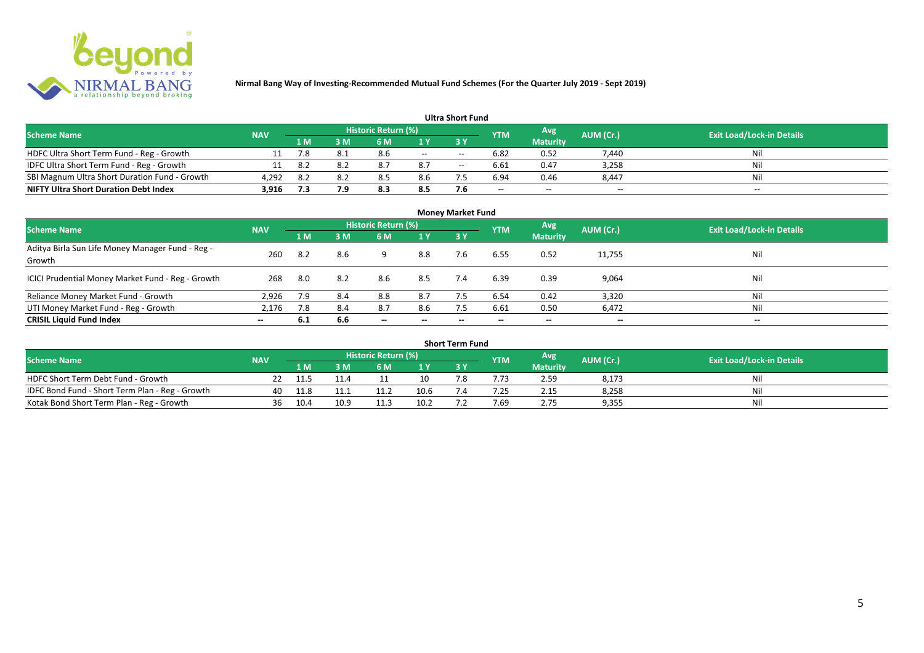

| <b>Ultra Short Fund</b>                       |            |       |     |                     |       |                                                |            |                 |                          |                                  |  |  |  |  |
|-----------------------------------------------|------------|-------|-----|---------------------|-------|------------------------------------------------|------------|-----------------|--------------------------|----------------------------------|--|--|--|--|
| <b>Scheme Name</b>                            | <b>NAV</b> |       |     | Historic Return (%) |       |                                                | <b>YTM</b> | Avg             | AUM (Cr.)                | <b>Exit Load/Lock-in Details</b> |  |  |  |  |
|                                               |            | 1 M . | 3M  |                     | 1 Y   |                                                |            | <b>Maturity</b> |                          |                                  |  |  |  |  |
| HDFC Ultra Short Term Fund - Reg - Growth     |            | 7.8   | 8.1 | 8.6                 | $- -$ | $- -$                                          | 6.82       | 0.52            | 7,440                    | Nil                              |  |  |  |  |
| IDFC Ultra Short Term Fund - Reg - Growth     |            | 8.2   |     |                     | 8.7   | $\hspace{0.1mm}-\hspace{0.1mm}-\hspace{0.1mm}$ | 6.61       | 0.47            | 3,258                    | Ni'                              |  |  |  |  |
| SBI Magnum Ultra Short Duration Fund - Growth | 4.292      | 8.2   | 87  |                     | 8.6   |                                                | 6.94       | 0.46            | 8.447                    | Nil                              |  |  |  |  |
| <b>NIFTY Ultra Short Duration Debt Index</b>  | 3,916      | 7.3   | 7.9 | 8.3                 | 8.5   | 7.6                                            | $- -$      | $- -$           | $\overline{\phantom{a}}$ | $- -$                            |  |  |  |  |

| <b>Money Market Fund</b>                                   |            |     |     |                            |                          |     |            |                 |                          |                                  |  |  |  |  |
|------------------------------------------------------------|------------|-----|-----|----------------------------|--------------------------|-----|------------|-----------------|--------------------------|----------------------------------|--|--|--|--|
| <b>Scheme Name</b>                                         | <b>NAV</b> |     |     | <b>Historic Return (%)</b> |                          |     | <b>YTM</b> | Avg             | AUM (Cr.)                | <b>Exit Load/Lock-in Details</b> |  |  |  |  |
|                                                            |            | 1 M | 3M  | 6 M                        | 1Y                       | 3Y  |            | <b>Maturity</b> |                          |                                  |  |  |  |  |
| Aditya Birla Sun Life Money Manager Fund - Reg -<br>Growth | 260        | 8.2 | 8.6 |                            | 8.8                      | 7.6 | 6.55       | 0.52            | 11,755                   | Nil                              |  |  |  |  |
| ICICI Prudential Money Market Fund - Reg - Growth          | 268        | 8.0 | 8.2 | 8.6                        | 8.5                      | 7.4 | 6.39       | 0.39            | 9,064                    | Nil                              |  |  |  |  |
| Reliance Money Market Fund - Growth                        | 2,926      | 7.9 | 8.4 | 8.8                        | 8.7                      |     | 6.54       | 0.42            | 3,320                    | Nil                              |  |  |  |  |
| UTI Money Market Fund - Reg - Growth                       | 2,176      | 7.8 | 8.4 | 8.7                        | 8.6                      | 7.5 | 6.61       | 0.50            | 6,472                    | Nil                              |  |  |  |  |
| <b>CRISIL Liquid Fund Index</b>                            | $-$        | 6.1 | 6.6 | $\overline{\phantom{a}}$   | $\overline{\phantom{a}}$ | --  | $- -$      | $\sim$          | $\overline{\phantom{a}}$ | $\overline{\phantom{a}}$         |  |  |  |  |

| Short Term Fund                                 |            |      |      |                     |      |     |            |                 |           |                                  |  |  |  |  |
|-------------------------------------------------|------------|------|------|---------------------|------|-----|------------|-----------------|-----------|----------------------------------|--|--|--|--|
| <b>Scheme Name</b>                              | <b>NAV</b> |      |      | Historic Return (%) |      |     | <b>YTM</b> | Avg             | AUM (Cr.) | <b>Exit Load/Lock-in Details</b> |  |  |  |  |
|                                                 |            | 1 M  |      | 6 M                 | 1 V  |     |            | <b>Maturity</b> |           |                                  |  |  |  |  |
| HDFC Short Term Debt Fund - Growth              |            |      | 11.4 |                     | 10   | ¬ ∩ | '.73       | 2.59            | 8,173     | Nil                              |  |  |  |  |
| IDFC Bond Fund - Short Term Plan - Reg - Growth | 40         | 11.8 |      | 11.2                | 10.6 |     | .25        | 2.15            | 8,258     | Nil                              |  |  |  |  |
| Kotak Bond Short Term Plan - Reg - Growth       | 36         | 10.4 | 10.9 | 11.3                | 10.2 |     | 7.69       | 2.75            | 9,355     | Nil                              |  |  |  |  |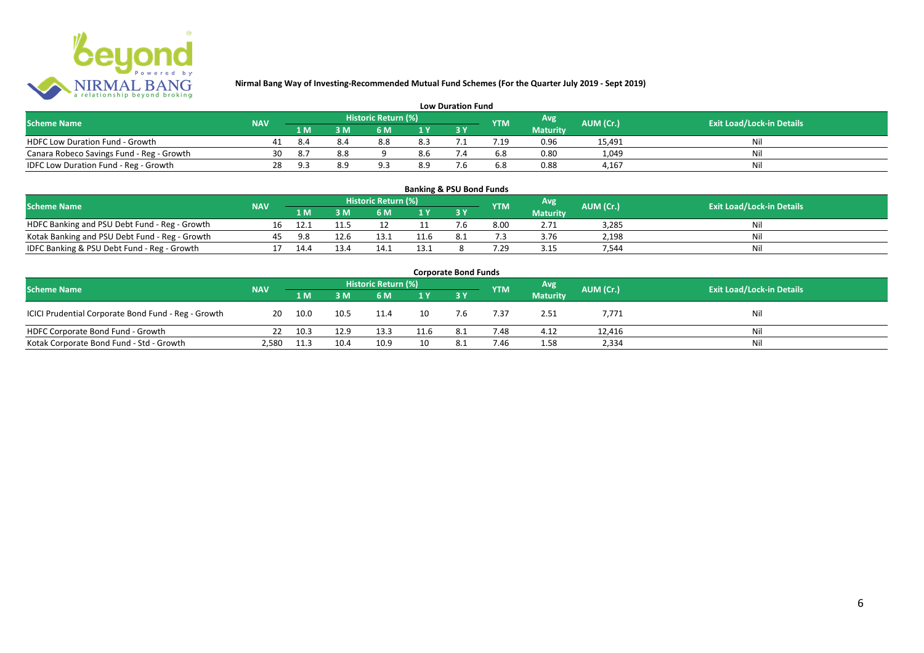

| <b>Low Duration Fund</b>                                                                                                      |    |     |     |     |     |  |     |                 |        |     |  |  |  |  |
|-------------------------------------------------------------------------------------------------------------------------------|----|-----|-----|-----|-----|--|-----|-----------------|--------|-----|--|--|--|--|
| Historic Return (%)<br>Avg<br><b>Exit Load/Lock-in Details</b><br><b>Scheme Name</b><br>AUM (Cr.)<br><b>NAV</b><br><b>YTM</b> |    |     |     |     |     |  |     |                 |        |     |  |  |  |  |
|                                                                                                                               |    | 1 M |     | 6 M |     |  |     | <b>Maturity</b> |        |     |  |  |  |  |
| <b>HDFC Low Duration Fund - Growth</b>                                                                                        |    | 8.4 |     | 8.8 | 8.3 |  | .19 | 0.96            | 15,491 | Ni  |  |  |  |  |
| Canara Robeco Savings Fund - Reg - Growth                                                                                     | 30 | 8.7 | 8.8 |     | 8.6 |  | 6.8 | 0.80            | 1,049  | Ni  |  |  |  |  |
| IDFC Low Duration Fund - Reg - Growth                                                                                         | 28 |     | 8.9 |     | 8.9 |  | 6.8 | 0.88            | 4.167  | -Ni |  |  |  |  |

#### **1 M 3 M 6 M 1 Y 3 Y** RDFC Banking and PSU Debt Fund - Reg - Growth 16 12.1 11.5 12 11 7.6 8.00 2.71 3,285 Nil<br>
Kotak Banking and PSU Debt Fund - Reg - Growth 45 9.8 12.6 13.1 11.6 8.1 7.3 3.76 2,198 Nil Notak Banking and PSU Debt Fund - Reg - Growth <br>
17 14.4 13.4 14.1 13.1 8 7.29 3.15 7,544 13.5 7.544 Nil IDFC Banking & PSU Debt Fund - Reg - Growth 17 14.4 13.4 14.1 13.1 8 7.29 3.15 7,544 **Banking & PSU Bond Funds Scheme Name NAV REGISTER AUM (Cr.) AUM (Cr.)** Exit Load/Lock-in Details **Historic Return (%) Maturity**

| <b>Corporate Bond Funds</b>                         |            |      |      |                     |      |     |            |                 |           |                                  |  |  |  |  |
|-----------------------------------------------------|------------|------|------|---------------------|------|-----|------------|-----------------|-----------|----------------------------------|--|--|--|--|
| <b>Scheme Name</b>                                  | <b>NAV</b> |      |      | Historic Return (%) |      |     | <b>YTM</b> | <b>Avg</b>      | AUM (Cr.) | <b>Exit Load/Lock-in Details</b> |  |  |  |  |
|                                                     |            | 1 M  | 3 M  | 6 M                 | 1Y   |     |            | <b>Maturity</b> |           |                                  |  |  |  |  |
| ICICI Prudential Corporate Bond Fund - Reg - Growth | 20         | 10.0 | 10.5 | 11.4                |      | 7.6 | 7.37       | 2.51            | 7,771     | Nil                              |  |  |  |  |
| HDFC Corporate Bond Fund - Growth                   | 22         | 10.3 | 12.9 | 13.3                | 11.6 | 8.1 | 7.48       | 4.12            | 12,416    | Ni                               |  |  |  |  |
| Kotak Corporate Bond Fund - Std - Growth            | 2,580      | 11.3 | 10.4 | 10.9                |      |     | 7.46       | 1.58            | 2,334     | Nil                              |  |  |  |  |